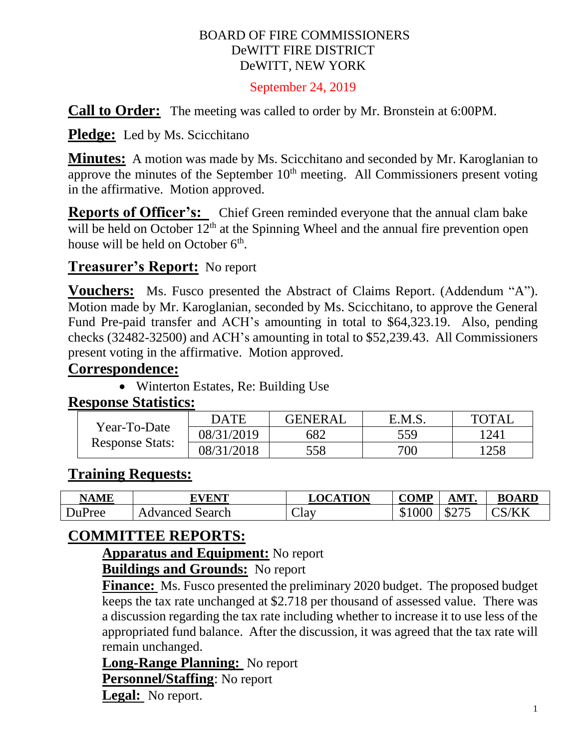#### BOARD OF FIRE COMMISSIONERS DeWITT FIRE DISTRICT DeWITT, NEW YORK

September 24, 2019

**Call to Order:** The meeting was called to order by Mr. Bronstein at 6:00PM.

**Pledge:** Led by Ms. Scicchitano

**Minutes:** A motion was made by Ms. Scicchitano and seconded by Mr. Karoglanian to approve the minutes of the September  $10<sup>th</sup>$  meeting. All Commissioners present voting in the affirmative. Motion approved.

**Reports of Officer's:** Chief Green reminded everyone that the annual clam bake will be held on October  $12<sup>th</sup>$  at the Spinning Wheel and the annual fire prevention open house will be held on October 6<sup>th</sup>.

# **Treasurer's Report:** No report

**Vouchers:** Ms. Fusco presented the Abstract of Claims Report. (Addendum "A"). Motion made by Mr. Karoglanian, seconded by Ms. Scicchitano, to approve the General Fund Pre-paid transfer and ACH's amounting in total to \$64,323.19. Also, pending checks (32482-32500) and ACH's amounting in total to \$52,239.43. All Commissioners present voting in the affirmative. Motion approved.

#### **Correspondence:**

• Winterton Estates, Re: Building Use

#### **Response Statistics:**

| Year-To-Date<br><b>Response Stats:</b> | <b>DATE</b> | <b>GENERAL</b> | E.M.S. | <b>TOTAL</b> |
|----------------------------------------|-------------|----------------|--------|--------------|
|                                        | 08/31/2019  | 682            | 559    | 1241         |
|                                        | 08/31/2018  | 558            | 700    | 1258         |

## **Training Requests:**

| <b>NAME</b> | <b>EVENT</b>       | <b>LOCATION</b>  | <b>COMP</b>              | <b>\MT</b>              | <b>BOARD</b> |
|-------------|--------------------|------------------|--------------------------|-------------------------|--------------|
| DuPree      | Advanced<br>Search | ~1<br>$\cup$ lav | 000<br>$\uparrow$<br>JD. | ሰዓማ $\epsilon$<br>DZ 13 | S/KK         |

# **COMMITTEE REPORTS:**

**Apparatus and Equipment:** No report

**Buildings and Grounds:** No report

**Finance:** Ms. Fusco presented the preliminary 2020 budget. The proposed budget keeps the tax rate unchanged at \$2.718 per thousand of assessed value. There was a discussion regarding the tax rate including whether to increase it to use less of the appropriated fund balance. After the discussion, it was agreed that the tax rate will remain unchanged.

**Long-Range Planning:** No report

**Personnel/Staffing**: No report

**Legal:** No report.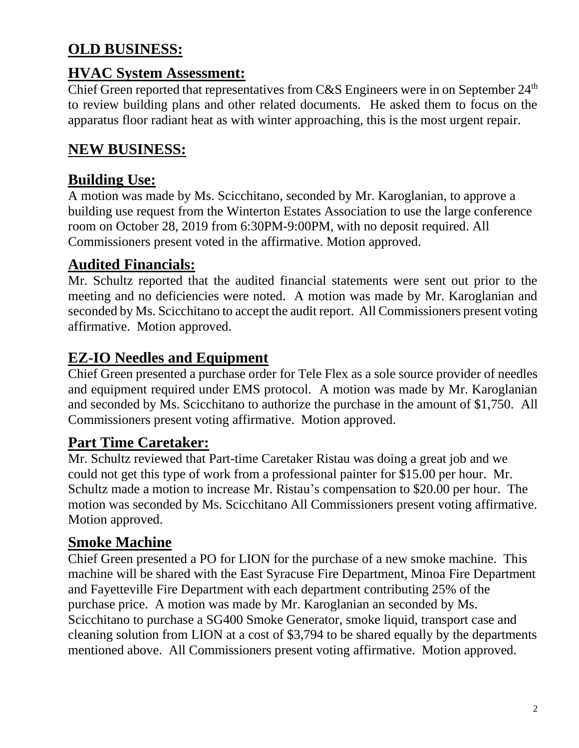# **OLD BUSINESS:**

## **HVAC System Assessment:**

Chief Green reported that representatives from C&S Engineers were in on September 24<sup>th</sup> to review building plans and other related documents. He asked them to focus on the apparatus floor radiant heat as with winter approaching, this is the most urgent repair.

# **NEW BUSINESS:**

## **Building Use:**

A motion was made by Ms. Scicchitano, seconded by Mr. Karoglanian, to approve a building use request from the Winterton Estates Association to use the large conference room on October 28, 2019 from 6:30PM-9:00PM, with no deposit required. All Commissioners present voted in the affirmative. Motion approved.

## **Audited Financials:**

Mr. Schultz reported that the audited financial statements were sent out prior to the meeting and no deficiencies were noted. A motion was made by Mr. Karoglanian and seconded by Ms. Scicchitano to accept the audit report. All Commissioners present voting affirmative. Motion approved.

## **EZ-IO Needles and Equipment**

Chief Green presented a purchase order for Tele Flex as a sole source provider of needles and equipment required under EMS protocol. A motion was made by Mr. Karoglanian and seconded by Ms. Scicchitano to authorize the purchase in the amount of \$1,750. All Commissioners present voting affirmative. Motion approved.

## **Part Time Caretaker:**

Mr. Schultz reviewed that Part-time Caretaker Ristau was doing a great job and we could not get this type of work from a professional painter for \$15.00 per hour. Mr. Schultz made a motion to increase Mr. Ristau's compensation to \$20.00 per hour. The motion was seconded by Ms. Scicchitano All Commissioners present voting affirmative. Motion approved.

#### **Smoke Machine**

Chief Green presented a PO for LION for the purchase of a new smoke machine. This machine will be shared with the East Syracuse Fire Department, Minoa Fire Department and Fayetteville Fire Department with each department contributing 25% of the purchase price. A motion was made by Mr. Karoglanian an seconded by Ms. Scicchitano to purchase a SG400 Smoke Generator, smoke liquid, transport case and cleaning solution from LION at a cost of \$3,794 to be shared equally by the departments mentioned above. All Commissioners present voting affirmative. Motion approved.